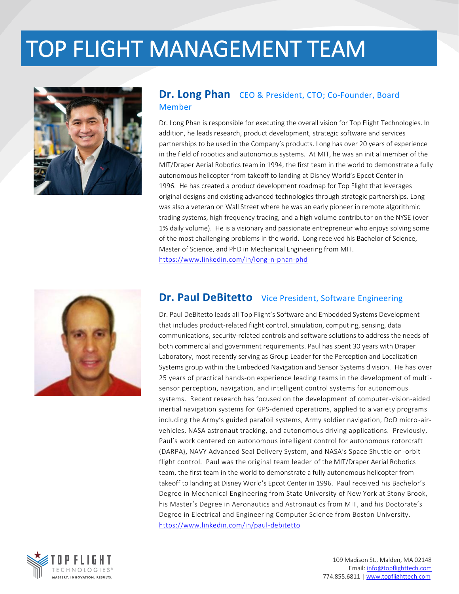## TOP FLIGHT MANAGEMENT TEAM



#### **Dr. Long Phan** CEO & President, CTO; Co-Founder, Board Member

Dr. Long Phan is responsible for executing the overall vision for Top Flight Technologies. In addition, he leads research, product development, strategic software and services partnerships to be used in the Company's products. Long has over 20 years of experience in the field of robotics and autonomous systems. At MIT, he was an initial member of the MIT/Draper Aerial Robotics team in 1994, the first team in the world to demonstrate a fully autonomous helicopter from takeoff to landing at Disney World's Epcot Center in 1996. He has created a product development roadmap for Top Flight that leverages original designs and existing advanced technologies through strategic partnerships. Long was also a veteran on Wall Street where he was an early pioneer in remote algorithmic trading systems, high frequency trading, and a high volume contributor on the NYSE (over 1% daily volume). He is a visionary and passionate entrepreneur who enjoys solving some of the most challenging problems in the world. Long received his Bachelor of Science, Master of Science, and PhD in Mechanical Engineering from MIT. <https://www.linkedin.com/in/long-n-phan-phd>



### **Dr. Paul DeBitetto** Vice President, Software Engineering

Dr. Paul DeBitetto leads all Top Flight's Software and Embedded Systems Development that includes product-related flight control, simulation, computing, sensing, data communications, security-related controls and software solutions to address the needs of both commercial and government requirements. Paul has spent 30 years with Draper Laboratory, most recently serving as Group Leader for the Perception and Localization Systems group within the Embedded Navigation and Sensor Systems division. He has over 25 years of practical hands-on experience leading teams in the development of multisensor perception, navigation, and intelligent control systems for autonomous systems. Recent research has focused on the development of computer-vision-aided inertial navigation systems for GPS-denied operations, applied to a variety programs including the Army's guided parafoil systems, Army soldier navigation, DoD micro-airvehicles, NASA astronaut tracking, and autonomous driving applications. Previously, Paul's work centered on autonomous intelligent control for autonomous rotorcraft (DARPA), NAVY Advanced Seal Delivery System, and NASA's Space Shuttle on-orbit flight control. Paul was the original team leader of the MIT/Draper Aerial Robotics team, the first team in the world to demonstrate a fully autonomous helicopter from takeoff to landing at Disney World's Epcot Center in 1996. Paul received his Bachelor's Degree in Mechanical Engineering from State University of New York at Stony Brook, his Master's Degree in Aeronautics and Astronautics from MIT, and his Doctorate's Degree in Electrical and Engineering Computer Science from Boston University. <https://www.linkedin.com/in/paul-debitetto>

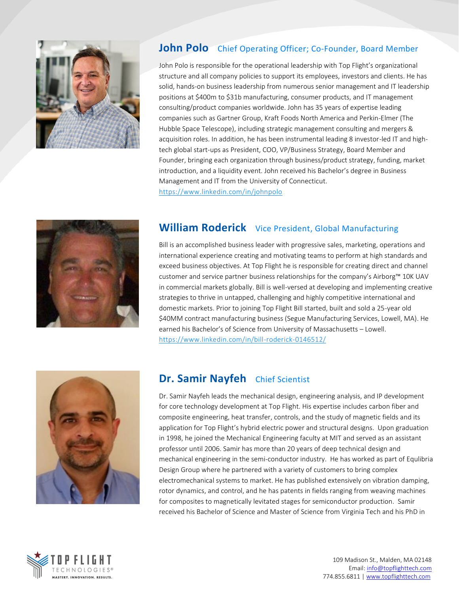

### **John Polo** Chief Operating Officer; Co-Founder, Board Member

John Polo is responsible for the operational leadership with Top Flight's organizational structure and all company policies to support its employees, investors and clients. He has solid, hands-on business leadership from numerous senior management and IT leadership positions at \$400m to \$31b manufacturing, consumer products, and IT management consulting/product companies worldwide. John has 35 years of expertise leading companies such as Gartner Group, Kraft Foods North America and Perkin-Elmer (The Hubble Space Telescope), including strategic management consulting and mergers & acquisition roles. In addition, he has been instrumental leading 8 investor-led IT and hightech global start-ups as President, COO, VP/Business Strategy, Board Member and Founder, bringing each organization through business/product strategy, funding, market introduction, and a liquidity event. John received his Bachelor's degree in Business Management and IT from the University of Connecticut. <https://www.linkedin.com/in/johnpolo>



## **William Roderick** Vice President, Global Manufacturing

Bill is an accomplished business leader with progressive sales, marketing, operations and international experience creating and motivating teams to perform at high standards and exceed business objectives. At Top Flight he is responsible for creating direct and channel customer and service partner business relationships for the company's Airborg™ 10K UAV in commercial markets globally. Bill is well-versed at developing and implementing creative strategies to thrive in untapped, challenging and highly competitive international and domestic markets. Prior to joining Top Flight Bill started, built and sold a 25-year old \$40MM contract manufacturing business (Segue Manufacturing Services, Lowell, MA). He earned his Bachelor's of Science from University of Massachusetts – Lowell. <https://www.linkedin.com/in/bill-roderick-0146512/>



### **Dr. Samir Nayfeh** Chief Scientist

Dr. Samir Nayfeh leads the mechanical design, engineering analysis, and IP development for core technology development at Top Flight. His expertise includes carbon fiber and composite engineering, heat transfer, controls, and the study of magnetic fields and its application for Top Flight's hybrid electric power and structural designs. Upon graduation in 1998, he joined the Mechanical Engineering faculty at MIT and served as an assistant professor until 2006. Samir has more than 20 years of deep technical design and mechanical engineering in the semi-conductor industry. He has worked as part of Equlibria Design Group where he partnered with a variety of customers to bring complex electromechanical systems to market. He has published extensively on vibration damping, rotor dynamics, and control, and he has patents in fields ranging from weaving machines for composites to magnetically levitated stages for semiconductor production. Samir received his Bachelor of Science and Master of Science from Virginia Tech and his PhD in

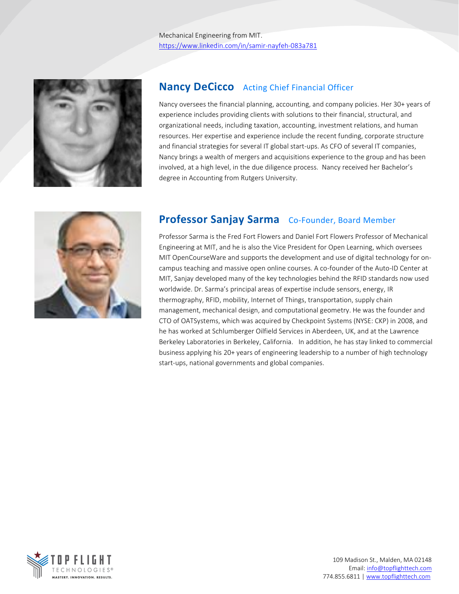

### **Nancy DeCicco** Acting Chief Financial Officer

Nancy oversees the financial planning, accounting, and company policies. Her 30+ years of experience includes providing clients with solutions to their financial, structural, and organizational needs, including taxation, accounting, investment relations, and human resources. Her expertise and experience include the recent funding, corporate structure and financial strategies for several IT global start-ups. As CFO of several IT companies, Nancy brings a wealth of mergers and acquisitions experience to the group and has been involved, at a high level, in the due diligence process. Nancy received her Bachelor's degree in Accounting from Rutgers University.



## Professor Sanjay Sarma Co-Founder, Board Member

Professor Sarma is the Fred Fort Flowers and Daniel Fort Flowers Professor of Mechanical Engineering at MIT, and he is also the Vice President for Open Learning, which oversees MIT OpenCourseWare and supports the development and use of digital technology for oncampus teaching and massive open online courses. A co-founder of the Auto-ID Center at MIT, Sanjay developed many of the key technologies behind the RFID standards now used worldwide. Dr. Sarma's principal areas of expertise include sensors, energy, IR thermography, RFID, mobility, Internet of Things, transportation, supply chain management, mechanical design, and computational geometry. He was the founder and CTO of OATSystems, which was acquired by Checkpoint Systems (NYSE: CKP) in 2008, and he has worked at Schlumberger Oilfield Services in Aberdeen, UK, and at the Lawrence Berkeley Laboratories in Berkeley, California. In addition, he has stay linked to commercial business applying his 20+ years of engineering leadership to a number of high technology start-ups, national governments and global companies.

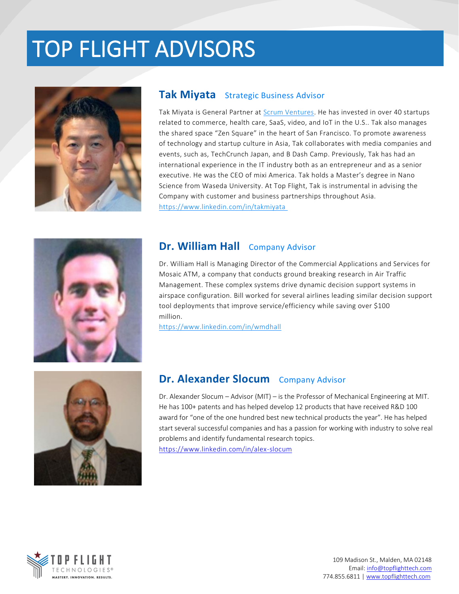# TOP FLIGHT ADVISORS



### **Tak Miyata** Strategic Business Advisor

Tak Miyata is General Partner at [Scrum Ventures.](http://scrum.vc/companies/) He has invested in over 40 startups related to commerce, health care, SaaS, video, and IoT in the U.S.. Tak also manages the shared space "Zen Square" in the heart of San Francisco. To promote awareness of technology and startup culture in Asia, Tak collaborates with media companies and events, such as, TechCrunch Japan, and B Dash Camp. Previously, Tak has had an international experience in the IT industry both as an entrepreneur and as a senior executive. He was the CEO of mixi America. Tak holds a Master's degree in Nano Science from Waseda University. At Top Flight, Tak is instrumental in advising the Company with customer and business partnerships throughout Asia. <https://www.linkedin.com/in/takmiyata>



## **Dr. William Hall** Company Advisor

Dr. William Hall is Managing Director of the Commercial Applications and Services for Mosaic ATM, a company that conducts ground breaking research in Air Traffic Management. These complex systems drive dynamic decision support systems in airspace configuration. Bill worked for several airlines leading similar decision support tool deployments that improve service/efficiency while saving over \$100  $m$ illion. $\blacksquare$ 

<https://www.linkedin.com/in/wmdhall>



### **Dr. Alexander Slocum** Company Advisor

Dr. Alexander Slocum – Advisor (MIT) – is the Professor of Mechanical Engineering at MIT. He has 100+ patents and has helped develop 12 products that have received R&D 100 award for "one of the one hundred best new technical products the year". He has helped start several successful companies and has a passion for working with industry to solve real problems and identify fundamental research topics. <https://www.linkedin.com/in/alex-slocum>

**TECHNOLOG** MASTERY, INNOVATION, RESULTS